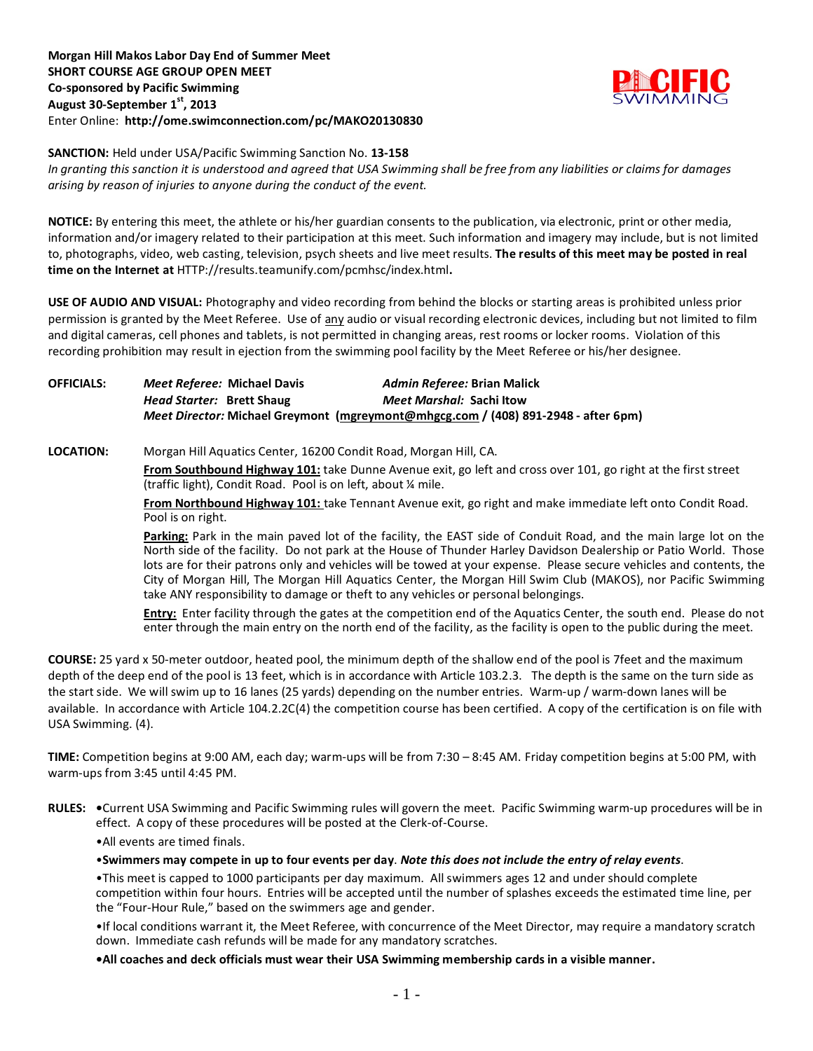

### **SANCTION:** Held under USA/Pacific Swimming Sanction No. **13-158**

*In granting this sanction it is understood and agreed that USA Swimming shall be free from any liabilities or claims for damages arising by reason of injuries to anyone during the conduct of the event.*

**NOTICE:** By entering this meet, the athlete or his/her guardian consents to the publication, via electronic, print or other media, information and/or imagery related to their participation at this meet. Such information and imagery may include, but is not limited to, photographs, video, web casting, television, psych sheets and live meet results. **The results of this meet may be posted in real time on the Internet at** HTTP://results.teamunify.com/pcmhsc/index.html**.**

**USE OF AUDIO AND VISUAL:** Photography and video recording from behind the blocks or starting areas is prohibited unless prior permission is granted by the Meet Referee. Use of any audio or visual recording electronic devices, including but not limited to film and digital cameras, cell phones and tablets, is not permitted in changing areas, rest rooms or locker rooms. Violation of this recording prohibition may result in ejection from the swimming pool facility by the Meet Referee or his/her designee.

## **OFFICIALS:** *Meet Referee:* **Michael Davis** *Admin Referee:* **Brian Malick** *Head Starter:* **Brett Shaug** *Meet Marshal:* **Sachi Itow** *Meet Director:* **Michael Greymont [\(mgreymont@mhgcg.com](mailto:mgreymont@mhgcg.com) / (408) 891-2948 - after 6pm)**

**LOCATION:** Morgan Hill Aquatics Center, 16200 Condit Road, Morgan Hill, CA.

**From Southbound Highway 101:** take Dunne Avenue exit, go left and cross over 101, go right at the first street (traffic light), Condit Road. Pool is on left, about ¼ mile.

**From Northbound Highway 101:** take Tennant Avenue exit, go right and make immediate left onto Condit Road. Pool is on right.

**Parking:** Park in the main paved lot of the facility, the EAST side of Conduit Road, and the main large lot on the North side of the facility. Do not park at the House of Thunder Harley Davidson Dealership or Patio World. Those lots are for their patrons only and vehicles will be towed at your expense. Please secure vehicles and contents, the City of Morgan Hill, The Morgan Hill Aquatics Center, the Morgan Hill Swim Club (MAKOS), nor Pacific Swimming take ANY responsibility to damage or theft to any vehicles or personal belongings.

**Entry:** Enter facility through the gates at the competition end of the Aquatics Center, the south end. Please do not enter through the main entry on the north end of the facility, as the facility is open to the public during the meet.

**COURSE:** 25 yard x 50-meter outdoor, heated pool, the minimum depth of the shallow end of the pool is 7feet and the maximum depth of the deep end of the pool is 13 feet, which is in accordance with Article 103.2.3. The depth is the same on the turn side as the start side. We will swim up to 16 lanes (25 yards) depending on the number entries. Warm-up / warm-down lanes will be available. In accordance with Article 104.2.2C(4) the competition course has been certified. A copy of the certification is on file with USA Swimming. (4).

**TIME:** Competition begins at 9:00 AM, each day; warm-ups will be from 7:30 – 8:45 AM. Friday competition begins at 5:00 PM, with warm-ups from 3:45 until 4:45 PM.

**RULES: •**Current USA Swimming and Pacific Swimming rules will govern the meet. Pacific Swimming warm-up procedures will be in effect. A copy of these procedures will be posted at the Clerk-of-Course.

•All events are timed finals.

•**Swimmers may compete in up to four events per day**. *Note this does not include the entry of relay events*.

•This meet is capped to 1000 participants per day maximum. All swimmers ages 12 and under should complete competition within four hours. Entries will be accepted until the number of splashes exceeds the estimated time line, per the "Four-Hour Rule," based on the swimmers age and gender.

•If local conditions warrant it, the Meet Referee, with concurrence of the Meet Director, may require a mandatory scratch down. Immediate cash refunds will be made for any mandatory scratches.

**•All coaches and deck officials must wear their USA Swimming membership cards in a visible manner.**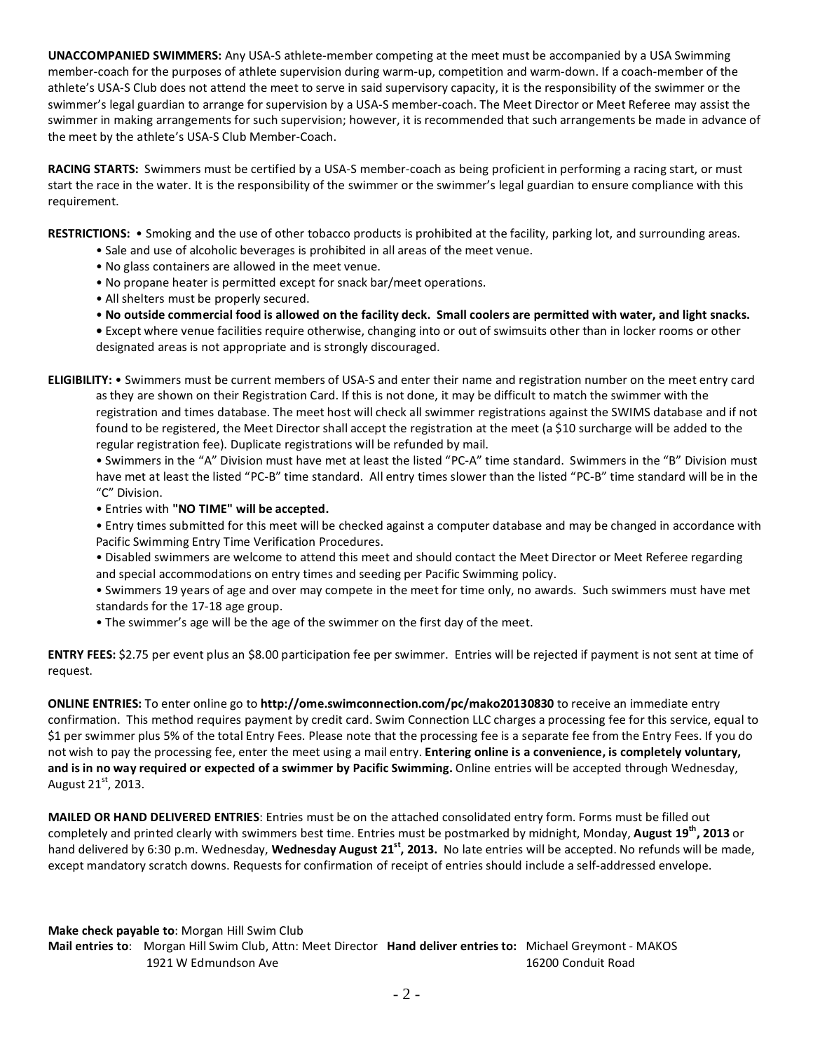**UNACCOMPANIED SWIMMERS:** Any USA-S athlete-member competing at the meet must be accompanied by a USA Swimming member-coach for the purposes of athlete supervision during warm-up, competition and warm-down. If a coach-member of the athlete's USA-S Club does not attend the meet to serve in said supervisory capacity, it is the responsibility of the swimmer or the swimmer's legal guardian to arrange for supervision by a USA-S member-coach. The Meet Director or Meet Referee may assist the swimmer in making arrangements for such supervision; however, it is recommended that such arrangements be made in advance of the meet by the athlete's USA-S Club Member-Coach.

**RACING STARTS:** Swimmers must be certified by a USA-S member-coach as being proficient in performing a racing start, or must start the race in the water. It is the responsibility of the swimmer or the swimmer's legal guardian to ensure compliance with this requirement.

**RESTRICTIONS:** • Smoking and the use of other tobacco products is prohibited at the facility, parking lot, and surrounding areas.

- Sale and use of alcoholic beverages is prohibited in all areas of the meet venue.
- No glass containers are allowed in the meet venue.
- No propane heater is permitted except for snack bar/meet operations.
- All shelters must be properly secured.

• **No outside commercial food is allowed on the facility deck. Small coolers are permitted with water, and light snacks. •** Except where venue facilities require otherwise, changing into or out of swimsuits other than in locker rooms or other designated areas is not appropriate and is strongly discouraged.

**ELIGIBILITY:** • Swimmers must be current members of USA-S and enter their name and registration number on the meet entry card as they are shown on their Registration Card. If this is not done, it may be difficult to match the swimmer with the registration and times database. The meet host will check all swimmer registrations against the SWIMS database and if not found to be registered, the Meet Director shall accept the registration at the meet (a \$10 surcharge will be added to the regular registration fee). Duplicate registrations will be refunded by mail.

• Swimmers in the "A" Division must have met at least the listed "PC-A" time standard. Swimmers in the "B" Division must have met at least the listed "PC-B" time standard. All entry times slower than the listed "PC-B" time standard will be in the "C" Division.

• Entries with **"NO TIME" will be accepted.**

• Entry times submitted for this meet will be checked against a computer database and may be changed in accordance with Pacific Swimming Entry Time Verification Procedures.

- Disabled swimmers are welcome to attend this meet and should contact the Meet Director or Meet Referee regarding and special accommodations on entry times and seeding per Pacific Swimming policy.
- Swimmers 19 years of age and over may compete in the meet for time only, no awards. Such swimmers must have met standards for the 17-18 age group.
- The swimmer's age will be the age of the swimmer on the first day of the meet.

**ENTRY FEES:** \$2.75 per event plus an \$8.00 participation fee per swimmer. Entries will be rejected if payment is not sent at time of request.

**ONLINE ENTRIES:** To enter online go to **http://ome.swimconnection.com/pc/mako20130830** to receive an immediate entry confirmation. This method requires payment by credit card. Swim Connection LLC charges a processing fee for this service, equal to \$1 per swimmer plus 5% of the total Entry Fees. Please note that the processing fee is a separate fee from the Entry Fees. If you do not wish to pay the processing fee, enter the meet using a mail entry. **Entering online is a convenience, is completely voluntary, and is in no way required or expected of a swimmer by Pacific Swimming.** Online entries will be accepted through Wednesday, August 21st, 2013.

**MAILED OR HAND DELIVERED ENTRIES**: Entries must be on the attached consolidated entry form. Forms must be filled out completely and printed clearly with swimmers best time. Entries must be postmarked by midnight, Monday, **August 19<sup>th</sup>, 2013** or hand delivered by 6:30 p.m. Wednesday, Wednesday August 21<sup>st</sup>, 2013. No late entries will be accepted. No refunds will be made, except mandatory scratch downs. Requests for confirmation of receipt of entries should include a self-addressed envelope.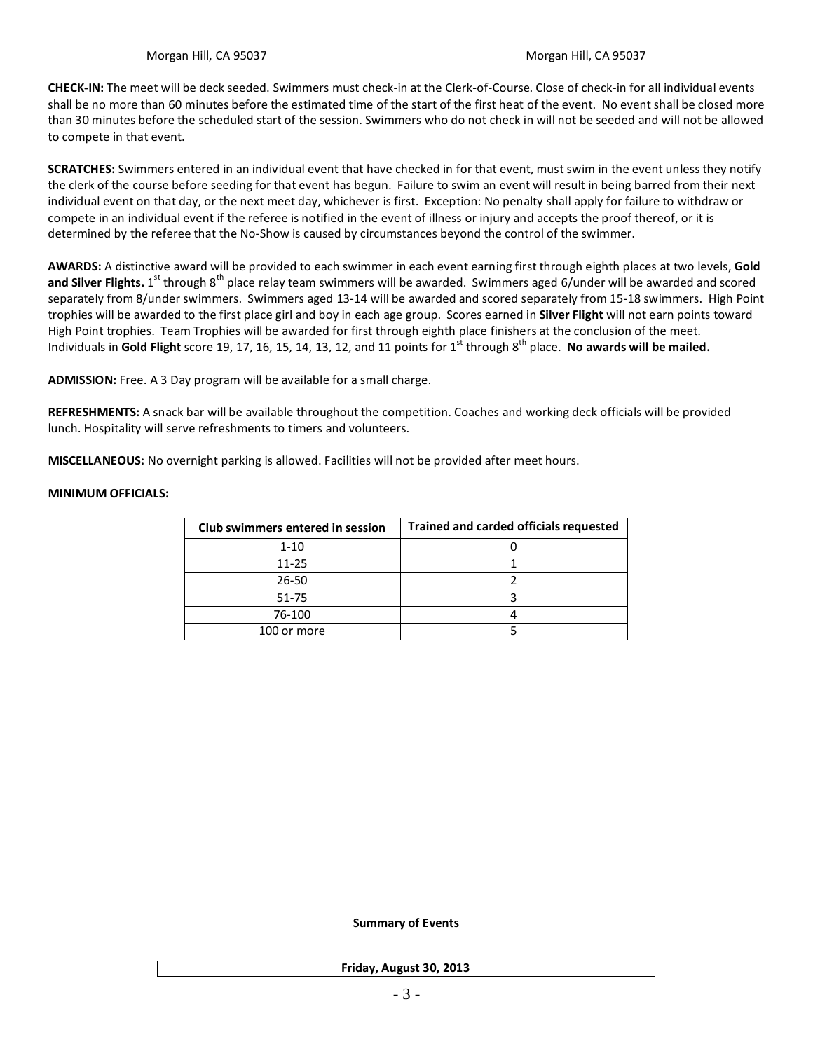**CHECK-IN:** The meet will be deck seeded. Swimmers must check-in at the Clerk-of-Course. Close of check-in for all individual events shall be no more than 60 minutes before the estimated time of the start of the first heat of the event. No event shall be closed more than 30 minutes before the scheduled start of the session. Swimmers who do not check in will not be seeded and will not be allowed to compete in that event.

**SCRATCHES:** Swimmers entered in an individual event that have checked in for that event, must swim in the event unless they notify the clerk of the course before seeding for that event has begun. Failure to swim an event will result in being barred from their next individual event on that day, or the next meet day, whichever is first. Exception: No penalty shall apply for failure to withdraw or compete in an individual event if the referee is notified in the event of illness or injury and accepts the proof thereof, or it is determined by the referee that the No-Show is caused by circumstances beyond the control of the swimmer.

**AWARDS:** A distinctive award will be provided to each swimmer in each event earning first through eighth places at two levels, **Gold**  and Silver Flights. 1<sup>st</sup> through 8<sup>th</sup> place relay team swimmers will be awarded. Swimmers aged 6/under will be awarded and scored separately from 8/under swimmers. Swimmers aged 13-14 will be awarded and scored separately from 15-18 swimmers. High Point trophies will be awarded to the first place girl and boy in each age group. Scores earned in **Silver Flight** will not earn points toward High Point trophies. Team Trophies will be awarded for first through eighth place finishers at the conclusion of the meet. Individuals in Gold Flight score 19, 17, 16, 15, 14, 13, 12, and 11 points for 1<sup>st</sup> through 8<sup>th</sup> place. **No awards will be mailed.** 

**ADMISSION:** Free. A 3 Day program will be available for a small charge.

**REFRESHMENTS:** A snack bar will be available throughout the competition. Coaches and working deck officials will be provided lunch. Hospitality will serve refreshments to timers and volunteers.

**MISCELLANEOUS:** No overnight parking is allowed. Facilities will not be provided after meet hours.

# **MINIMUM OFFICIALS:**

| Club swimmers entered in session | <b>Trained and carded officials requested</b> |
|----------------------------------|-----------------------------------------------|
| $1 - 10$                         |                                               |
| $11 - 25$                        |                                               |
| 26-50                            |                                               |
| 51-75                            |                                               |
| 76-100                           |                                               |
| 100 or more                      |                                               |

**Summary of Events**

**Friday, August 30, 2013**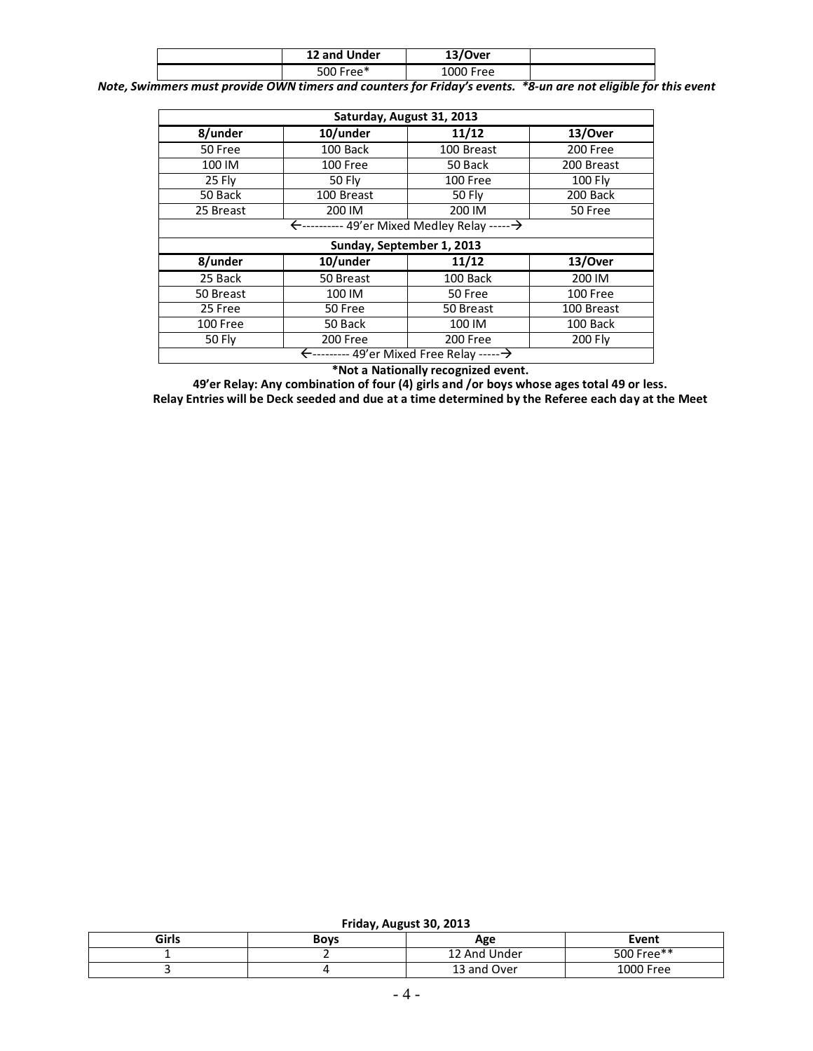| 12 and Under | 13/Over   |  |
|--------------|-----------|--|
| 500 Free*    | 1000 Free |  |

*Note, Swimmers must provide OWN timers and counters for Friday's events. \*8-un are not eligible for this event*

| Saturday, August 31, 2013 |                                                                   |                    |            |  |  |  |  |
|---------------------------|-------------------------------------------------------------------|--------------------|------------|--|--|--|--|
| 8/under                   | 10/under                                                          | 11/12              | 13/Over    |  |  |  |  |
| 50 Free                   | 100 Back                                                          | 100 Breast         | 200 Free   |  |  |  |  |
| 100 IM                    | 100 Free                                                          | 50 Back            | 200 Breast |  |  |  |  |
| 25 Fly                    | 50 Fly                                                            | 100 Free           | 100 Fly    |  |  |  |  |
| 50 Back                   | 100 Breast                                                        | <b>50 Fly</b>      | 200 Back   |  |  |  |  |
| 25 Breast                 | 200 IM                                                            | 200 IM             | 50 Free    |  |  |  |  |
|                           | ←---------- 49'er Mixed Medley Relay ------ →                     |                    |            |  |  |  |  |
|                           | Sunday, September 1, 2013                                         |                    |            |  |  |  |  |
| 8/under                   | 10/under                                                          | 11/12              | 13/Over    |  |  |  |  |
| 25 Back                   | 50 Breast                                                         | 100 Back           | 200 IM     |  |  |  |  |
| 50 Breast                 | 100 IM                                                            | 50 Free            | 100 Free   |  |  |  |  |
| 25 Free                   | 50 Free                                                           | 50 Breast          | 100 Breast |  |  |  |  |
| 100 Free                  | 50 Back                                                           | 100 Back<br>100 IM |            |  |  |  |  |
| <b>50 Fly</b>             | 200 Free<br>200 Free<br>200 Fly                                   |                    |            |  |  |  |  |
|                           | $\leftarrow$ --------- 49'er Mixed Free Relay ----- $\rightarrow$ |                    |            |  |  |  |  |

**\*Not a Nationally recognized event.**

**49'er Relay: Any combination of four (4) girls and /or boys whose ages total 49 or less. Relay Entries will be Deck seeded and due at a time determined by the Referee each day at the Meet**

**Friday, August 30, 2013**

| Girls | <b>Boys</b> | Age          | Event      |  |  |
|-------|-------------|--------------|------------|--|--|
|       |             | 12 And Under | 500 Free** |  |  |
|       |             | 13 and Over  | 1000 Free  |  |  |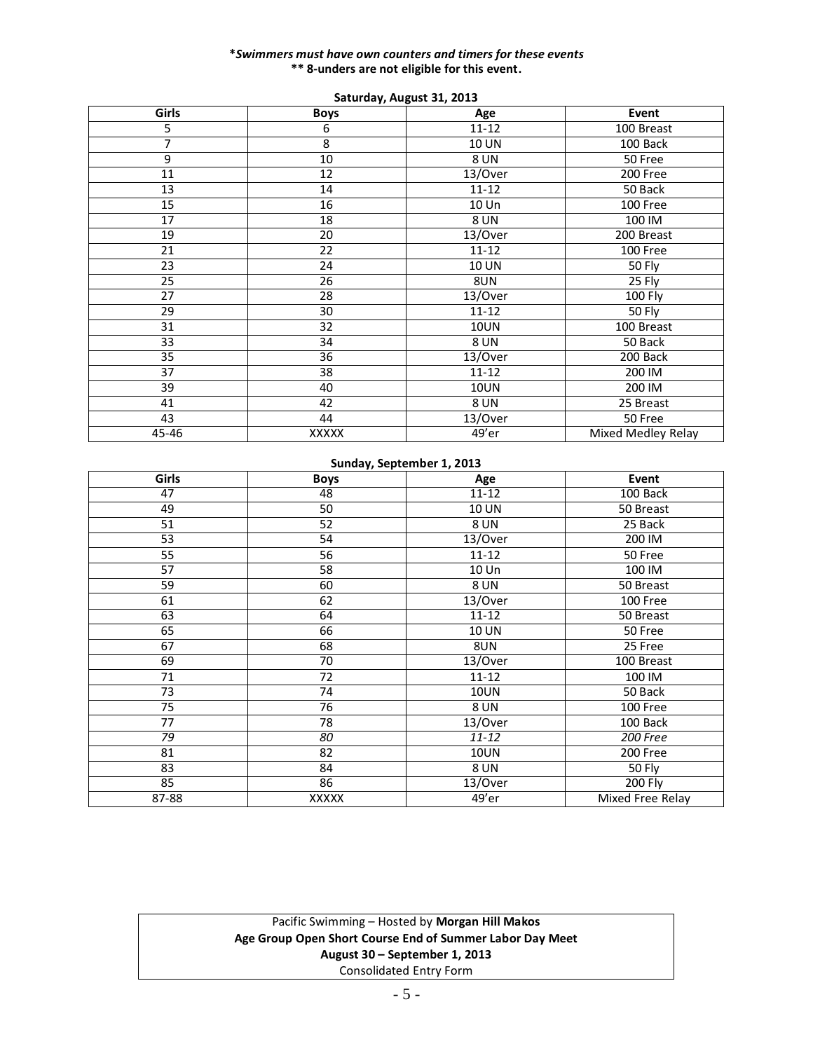#### **\****Swimmers must have own counters and timers for these events* **\*\* 8-unders are not eligible for this event.**

|                 |                 | $34.41$ au $1, 7.48$ ast $31, 201$ |                    |  |  |
|-----------------|-----------------|------------------------------------|--------------------|--|--|
| Girls           | <b>Boys</b>     | Age                                | Event              |  |  |
| 5               | 6               | $11 - 12$                          | 100 Breast         |  |  |
| 7               | 8               | 10 UN<br>100 Back                  |                    |  |  |
| 9               | 10              | 8 UN                               | 50 Free            |  |  |
| $\overline{11}$ | $\overline{12}$ | 13/Over                            | 200 Free           |  |  |
| 13              | 14              | 50 Back<br>$11 - 12$               |                    |  |  |
| 15              | 16              | 10 Un                              | 100 Free           |  |  |
| 17              | 18              | <b>8 UN</b>                        | 100 IM             |  |  |
| 19              | 20              | 13/Over                            | 200 Breast         |  |  |
| 21              | 22              | $11 - 12$                          | 100 Free           |  |  |
| 23              | 24              | 10 UN                              | 50 Fly             |  |  |
| 25              | 26              | 8UN                                | 25 Fly             |  |  |
| 27              | 28              | 13/Over                            | 100 Fly            |  |  |
| 29              | 30              | $11 - 12$                          | 50 Fly             |  |  |
| 31              | 32              | <b>10UN</b>                        | 100 Breast         |  |  |
| 33              | 34              | <b>8 UN</b>                        | 50 Back            |  |  |
| 35              | 36              | 13/Over                            | 200 Back           |  |  |
| 37              | 38              | $11 - 12$                          | 200 IM             |  |  |
| 39              | 40              | <b>10UN</b>                        | 200 IM             |  |  |
| 41              | 42              | <b>8 UN</b>                        | 25 Breast          |  |  |
| 43              | 44              | 13/Over                            | 50 Free            |  |  |
| 45-46           | XXXXX           | 49'er                              | Mixed Medley Relay |  |  |

## **Saturday, August 31, 2013**

### **Sunday, September 1, 2013**

| <b>Girls</b> | <b>Boys</b>     | Age          | Event            |  |  |  |
|--------------|-----------------|--------------|------------------|--|--|--|
| 47           | 48              | $11 - 12$    | 100 Back         |  |  |  |
| 49           | 50              | <b>10 UN</b> | 50 Breast        |  |  |  |
| 51           | 52              | <b>8 UN</b>  | 25 Back          |  |  |  |
| 53           | 54              | 13/Over      | 200 IM           |  |  |  |
| 55           | 56              | $11 - 12$    | 50 Free          |  |  |  |
| 57           | 58              | 10 Un        | 100 IM           |  |  |  |
| 59           | 60              | <b>8 UN</b>  | 50 Breast        |  |  |  |
| 61           | 62              | 13/Over      | 100 Free         |  |  |  |
| 63           | 64              | $11 - 12$    | 50 Breast        |  |  |  |
| 65           | 66              | <b>10 UN</b> | 50 Free          |  |  |  |
| 67           | 68              | 8UN          | 25 Free          |  |  |  |
| 69           | $\overline{70}$ | 13/Over      | 100 Breast       |  |  |  |
| 71           | 72              | $11 - 12$    | 100 IM           |  |  |  |
| 73           | 74              | <b>10UN</b>  | 50 Back          |  |  |  |
| 75           | 76              | <b>8 UN</b>  | 100 Free         |  |  |  |
| 77           | 78              | 13/Over      | 100 Back         |  |  |  |
| 79           | 80              | $11 - 12$    | 200 Free         |  |  |  |
| 81           | 82              | <b>10UN</b>  | 200 Free         |  |  |  |
| 83           | 84              | <b>8 UN</b>  | 50 Fly           |  |  |  |
| 85           | 86              | 13/Over      | $200$ Fly        |  |  |  |
| 87-88        | XXXXX           | 49'er        | Mixed Free Relay |  |  |  |

# Pacific Swimming – Hosted by **Morgan Hill Makos Age Group Open Short Course End of Summer Labor Day Meet August 30 – September 1, 2013** Consolidated Entry Form